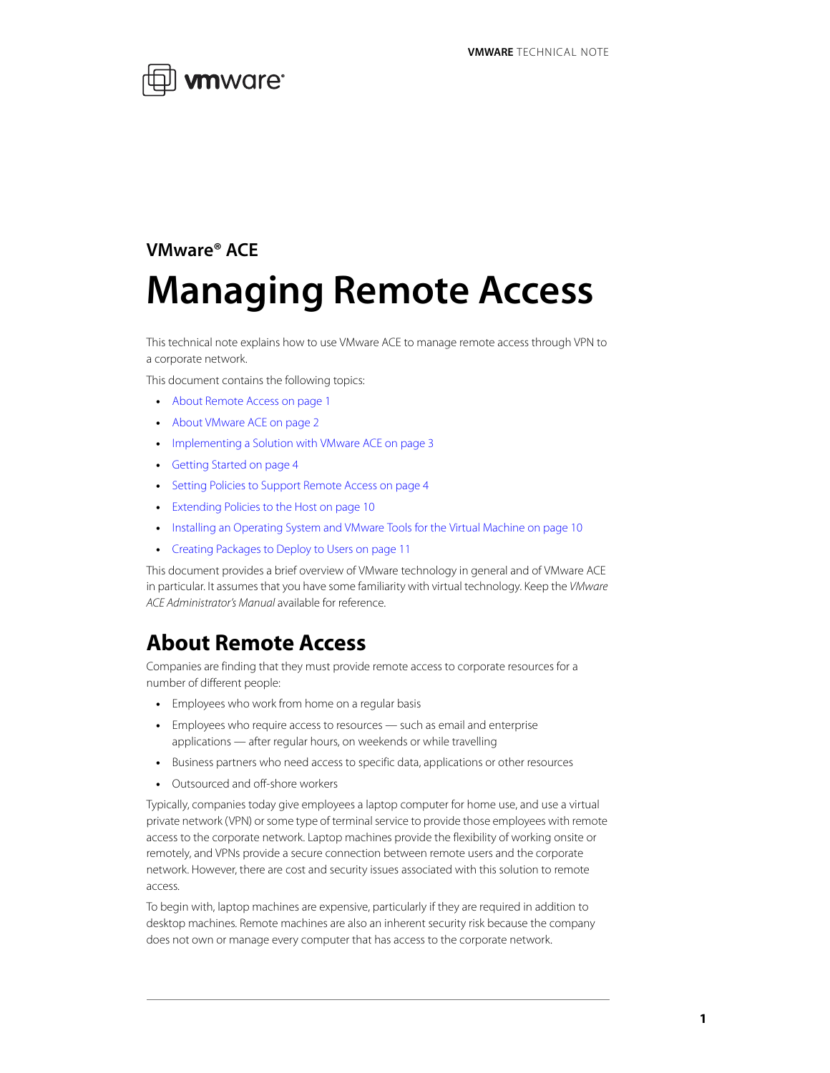

# **VMware® ACE Managing Remote Access**

This technical note explains how to use VMware ACE to manage remote access through VPN to a corporate network.

This document contains the following topics:

- **•** [About Remote Access on page 1](#page-0-0)
- **•** [About VMware ACE on page 2](#page-1-0)
- **•** [Implementing a Solution with VMware ACE on page 3](#page-2-0)
- **•** [Getting Started on page 4](#page-3-1)
- **•** [Setting Policies to Support Remote Access on page 4](#page-3-0)
- **•** [Extending Policies to the Host on page 10](#page-9-0)
- **•** [Installing an Operating System and VMware Tools for the Virtual Machine on page 10](#page-9-1)
- **•** [Creating Packages to Deploy to Users on page 11](#page-10-0)

This document provides a brief overview of VMware technology in general and of VMware ACE in particular. It assumes that you have some familiarity with virtual technology. Keep the VMware ACE Administrator's Manual available for reference.

### <span id="page-0-0"></span>**About Remote Access**

Companies are finding that they must provide remote access to corporate resources for a number of different people:

- **•** Employees who work from home on a regular basis
- **•** Employees who require access to resources such as email and enterprise applications — after regular hours, on weekends or while travelling
- **•** Business partners who need access to specific data, applications or other resources
- **•** Outsourced and off-shore workers

Typically, companies today give employees a laptop computer for home use, and use a virtual private network (VPN) or some type of terminal service to provide those employees with remote access to the corporate network. Laptop machines provide the flexibility of working onsite or remotely, and VPNs provide a secure connection between remote users and the corporate network. However, there are cost and security issues associated with this solution to remote access.

To begin with, laptop machines are expensive, particularly if they are required in addition to desktop machines. Remote machines are also an inherent security risk because the company does not own or manage every computer that has access to the corporate network.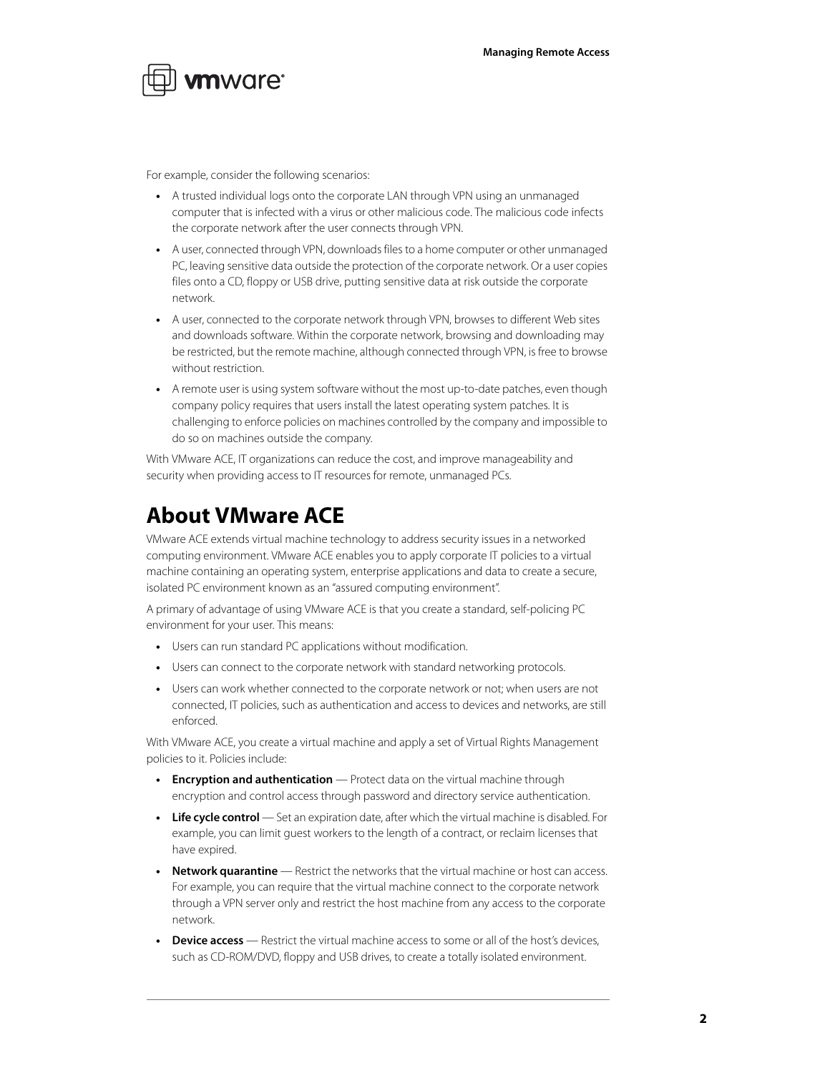

For example, consider the following scenarios:

- **•** A trusted individual logs onto the corporate LAN through VPN using an unmanaged computer that is infected with a virus or other malicious code. The malicious code infects the corporate network after the user connects through VPN.
- **•** A user, connected through VPN, downloads files to a home computer or other unmanaged PC, leaving sensitive data outside the protection of the corporate network. Or a user copies files onto a CD, floppy or USB drive, putting sensitive data at risk outside the corporate network.
- **•** A user, connected to the corporate network through VPN, browses to different Web sites and downloads software. Within the corporate network, browsing and downloading may be restricted, but the remote machine, although connected through VPN, is free to browse without restriction.
- **•** A remote user is using system software without the most up-to-date patches, even though company policy requires that users install the latest operating system patches. It is challenging to enforce policies on machines controlled by the company and impossible to do so on machines outside the company.

With VMware ACE, IT organizations can reduce the cost, and improve manageability and security when providing access to IT resources for remote, unmanaged PCs.

### <span id="page-1-0"></span>**About VMware ACE**

VMware ACE extends virtual machine technology to address security issues in a networked computing environment. VMware ACE enables you to apply corporate IT policies to a virtual machine containing an operating system, enterprise applications and data to create a secure, isolated PC environment known as an "assured computing environment".

A primary of advantage of using VMware ACE is that you create a standard, self-policing PC environment for your user. This means:

- **•** Users can run standard PC applications without modification.
- **•** Users can connect to the corporate network with standard networking protocols.
- **•** Users can work whether connected to the corporate network or not; when users are not connected, IT policies, such as authentication and access to devices and networks, are still enforced.

With VMware ACE, you create a virtual machine and apply a set of Virtual Rights Management policies to it. Policies include:

- **• Encryption and authentication** Protect data on the virtual machine through encryption and control access through password and directory service authentication.
- **• Life cycle control** Set an expiration date, after which the virtual machine is disabled. For example, you can limit guest workers to the length of a contract, or reclaim licenses that have expired.
- **• Network quarantine** Restrict the networks that the virtual machine or host can access. For example, you can require that the virtual machine connect to the corporate network through a VPN server only and restrict the host machine from any access to the corporate network.
- **Pevice access** Restrict the virtual machine access to some or all of the host's devices, such as CD-ROM/DVD, floppy and USB drives, to create a totally isolated environment.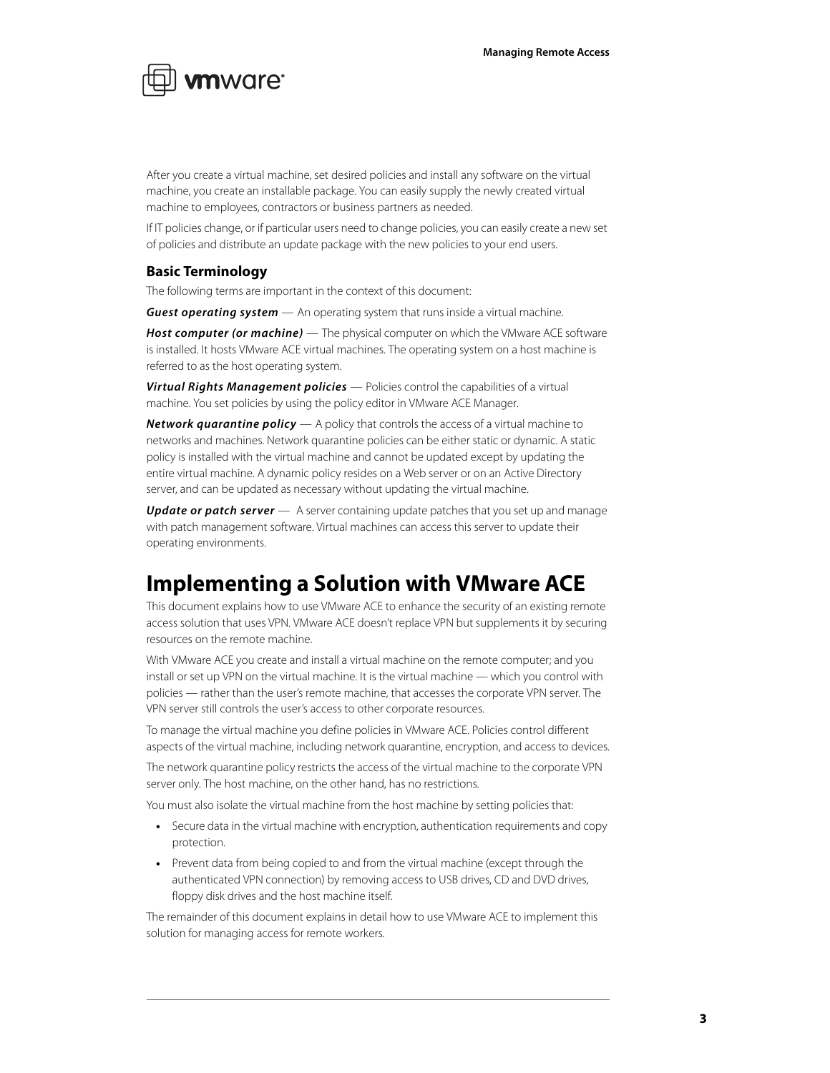

After you create a virtual machine, set desired policies and install any software on the virtual machine, you create an installable package. You can easily supply the newly created virtual machine to employees, contractors or business partners as needed.

If IT policies change, or if particular users need to change policies, you can easily create a new set of policies and distribute an update package with the new policies to your end users.

#### **Basic Terminology**

The following terms are important in the context of this document:

**Guest operating system** — An operating system that runs inside a virtual machine.

**Host computer (or machine)** — The physical computer on which the VMware ACE software is installed. It hosts VMware ACE virtual machines. The operating system on a host machine is referred to as the host operating system.

**Virtual Rights Management policies** — Policies control the capabilities of a virtual machine. You set policies by using the policy editor in VMware ACE Manager.

**Network quarantine policy** — A policy that controls the access of a virtual machine to networks and machines. Network quarantine policies can be either static or dynamic. A static policy is installed with the virtual machine and cannot be updated except by updating the entire virtual machine. A dynamic policy resides on a Web server or on an Active Directory server, and can be updated as necessary without updating the virtual machine.

**Update or patch server** — A server containing update patches that you set up and manage with patch management software. Virtual machines can access this server to update their operating environments.

### <span id="page-2-0"></span>**Implementing a Solution with VMware ACE**

This document explains how to use VMware ACE to enhance the security of an existing remote access solution that uses VPN. VMware ACE doesn't replace VPN but supplements it by securing resources on the remote machine.

With VMware ACE you create and install a virtual machine on the remote computer; and you install or set up VPN on the virtual machine. It is the virtual machine — which you control with policies — rather than the user's remote machine, that accesses the corporate VPN server. The VPN server still controls the user's access to other corporate resources.

To manage the virtual machine you define policies in VMware ACE. Policies control different aspects of the virtual machine, including network quarantine, encryption, and access to devices.

The network quarantine policy restricts the access of the virtual machine to the corporate VPN server only. The host machine, on the other hand, has no restrictions.

You must also isolate the virtual machine from the host machine by setting policies that:

- **•** Secure data in the virtual machine with encryption, authentication requirements and copy protection.
- **•** Prevent data from being copied to and from the virtual machine (except through the authenticated VPN connection) by removing access to USB drives, CD and DVD drives, floppy disk drives and the host machine itself.

The remainder of this document explains in detail how to use VMware ACE to implement this solution for managing access for remote workers.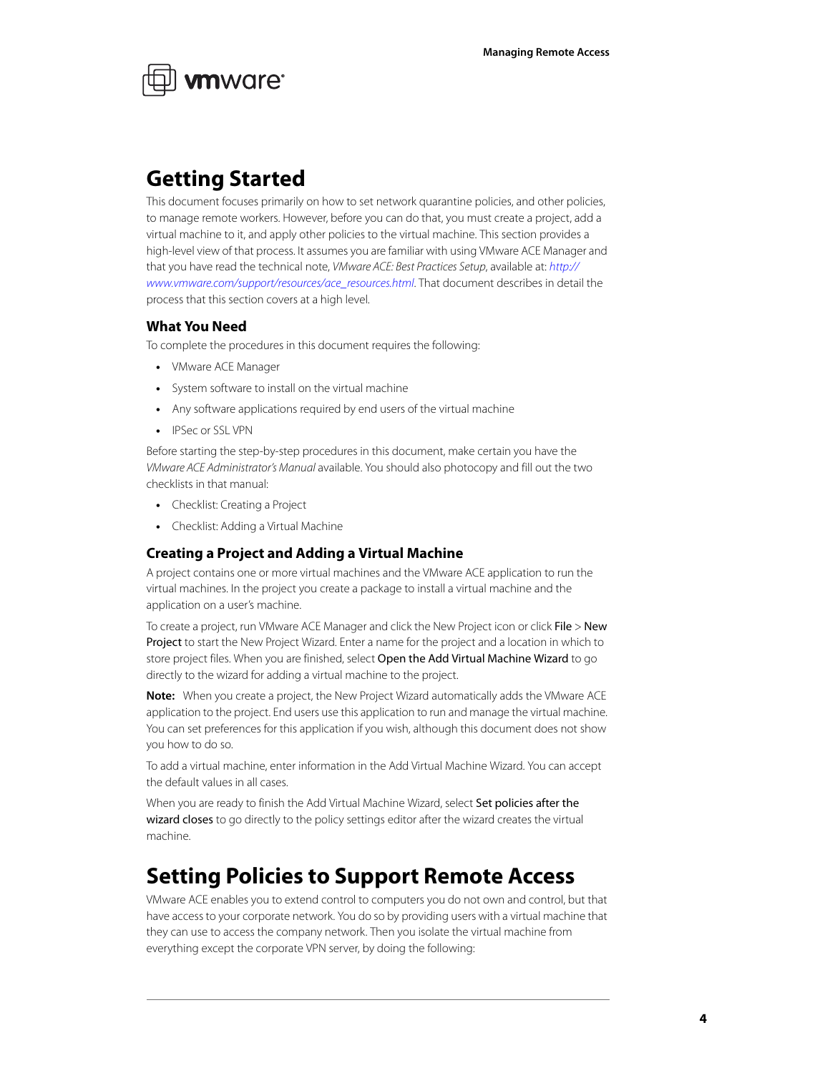

### <span id="page-3-1"></span>**Getting Started**

This document focuses primarily on how to set network quarantine policies, and other policies, to manage remote workers. However, before you can do that, you must create a project, add a virtual machine to it, and apply other policies to the virtual machine. This section provides a high-level view of that process. It assumes you are familiar with using VMware ACE Manager and that you have read the technical note, VMware ACE: Best Practices Setup, available at: [http://](http://www.vmware.com/support/resources/ace_resources.html) [www.vmware.com/support/resources/ace\\_resources.html](http://www.vmware.com/support/resources/ace_resources.html). That document describes in detail the process that this section covers at a high level.

#### **What You Need**

To complete the procedures in this document requires the following:

- **•** VMware ACE Manager
- **•** System software to install on the virtual machine
- **•** Any software applications required by end users of the virtual machine
- **•** IPSec or SSL VPN

Before starting the step-by-step procedures in this document, make certain you have the VMware ACE Administrator's Manual available. You should also photocopy and fill out the two checklists in that manual:

- **•** Checklist: Creating a Project
- **•** Checklist: Adding a Virtual Machine

#### **Creating a Project and Adding a Virtual Machine**

A project contains one or more virtual machines and the VMware ACE application to run the virtual machines. In the project you create a package to install a virtual machine and the application on a user's machine.

To create a project, run VMware ACE Manager and click the New Project icon or click File > New Project to start the New Project Wizard. Enter a name for the project and a location in which to store project files. When you are finished, select Open the Add Virtual Machine Wizard to go directly to the wizard for adding a virtual machine to the project.

**Note:** When you create a project, the New Project Wizard automatically adds the VMware ACE application to the project. End users use this application to run and manage the virtual machine. You can set preferences for this application if you wish, although this document does not show you how to do so.

To add a virtual machine, enter information in the Add Virtual Machine Wizard. You can accept the default values in all cases.

When you are ready to finish the Add Virtual Machine Wizard, select Set policies after the wizard closes to go directly to the policy settings editor after the wizard creates the virtual machine.

### <span id="page-3-0"></span>**Setting Policies to Support Remote Access**

VMware ACE enables you to extend control to computers you do not own and control, but that have access to your corporate network. You do so by providing users with a virtual machine that they can use to access the company network. Then you isolate the virtual machine from everything except the corporate VPN server, by doing the following: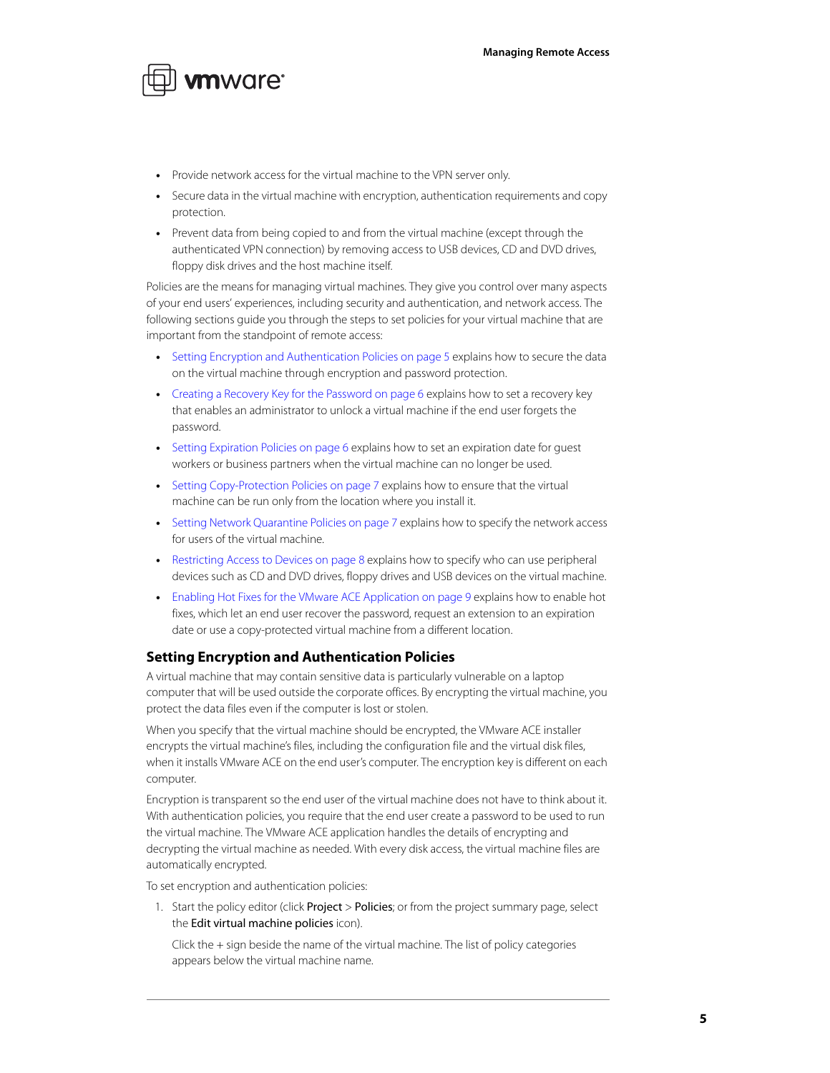

- **•** Provide network access for the virtual machine to the VPN server only.
- **•** Secure data in the virtual machine with encryption, authentication requirements and copy protection.
- **•** Prevent data from being copied to and from the virtual machine (except through the authenticated VPN connection) by removing access to USB devices, CD and DVD drives, floppy disk drives and the host machine itself.

Policies are the means for managing virtual machines. They give you control over many aspects of your end users' experiences, including security and authentication, and network access. The following sections guide you through the steps to set policies for your virtual machine that are important from the standpoint of remote access:

- **•** [Setting Encryption and Authentication Policies on page 5](#page-4-0) explains how to secure the data on the virtual machine through encryption and password protection.
- **•** [Creating a Recovery Key for the Password on page 6](#page-5-1) explains how to set a recovery key that enables an administrator to unlock a virtual machine if the end user forgets the password.
- **•** [Setting Expiration Policies on page 6](#page-5-0) explains how to set an expiration date for guest workers or business partners when the virtual machine can no longer be used.
- **•** [Setting Copy-Protection Policies on page 7](#page-6-0) explains how to ensure that the virtual machine can be run only from the location where you install it.
- **•** [Setting Network Quarantine Policies on page 7](#page-6-1) explains how to specify the network access for users of the virtual machine.
- **•** [Restricting Access to Devices on page 8](#page-7-0) explains how to specify who can use peripheral devices such as CD and DVD drives, floppy drives and USB devices on the virtual machine.
- **•** [Enabling Hot Fixes for the VMware ACE Application on page 9](#page-8-0) explains how to enable hot fixes, which let an end user recover the password, request an extension to an expiration date or use a copy-protected virtual machine from a different location.

#### <span id="page-4-0"></span>**Setting Encryption and Authentication Policies**

A virtual machine that may contain sensitive data is particularly vulnerable on a laptop computer that will be used outside the corporate offices. By encrypting the virtual machine, you protect the data files even if the computer is lost or stolen.

When you specify that the virtual machine should be encrypted, the VMware ACE installer encrypts the virtual machine's files, including the configuration file and the virtual disk files, when it installs VMware ACE on the end user's computer. The encryption key is different on each computer.

Encryption is transparent so the end user of the virtual machine does not have to think about it. With authentication policies, you require that the end user create a password to be used to run the virtual machine. The VMware ACE application handles the details of encrypting and decrypting the virtual machine as needed. With every disk access, the virtual machine files are automatically encrypted.

To set encryption and authentication policies:

1. Start the policy editor (click Project > Policies; or from the project summary page, select the Edit virtual machine policies icon).

Click the + sign beside the name of the virtual machine. The list of policy categories appears below the virtual machine name.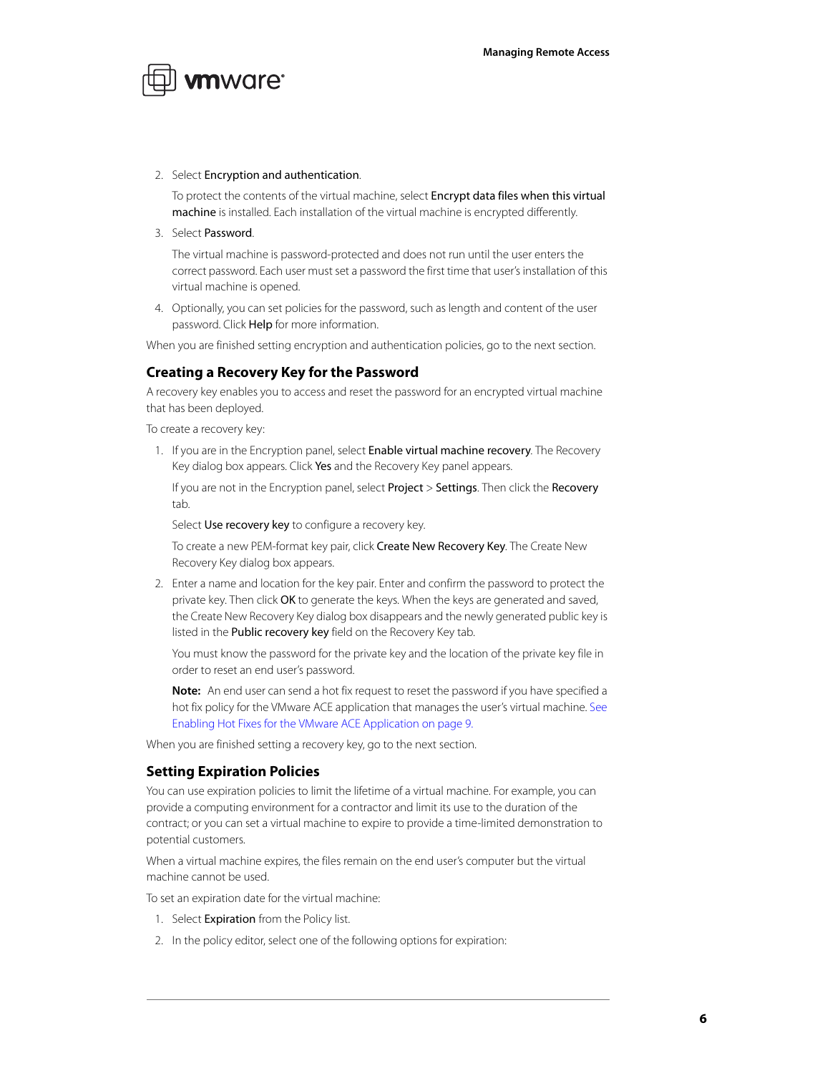

#### 2. Select Encryption and authentication.

To protect the contents of the virtual machine, select Encrypt data files when this virtual machine is installed. Each installation of the virtual machine is encrypted differently.

3. Select Password.

The virtual machine is password-protected and does not run until the user enters the correct password. Each user must set a password the first time that user's installation of this virtual machine is opened.

4. Optionally, you can set policies for the password, such as length and content of the user password. Click Help for more information.

When you are finished setting encryption and authentication policies, go to the next section.

### <span id="page-5-1"></span>**Creating a Recovery Key for the Password**

A recovery key enables you to access and reset the password for an encrypted virtual machine that has been deployed.

To create a recovery key:

1. If you are in the Encryption panel, select **Enable virtual machine recovery**. The Recovery Key dialog box appears. Click Yes and the Recovery Key panel appears.

If you are not in the Encryption panel, select Project > Settings. Then click the Recovery tab.

Select Use recovery key to configure a recovery key.

To create a new PEM-format key pair, click Create New Recovery Key. The Create New Recovery Key dialog box appears.

2. Enter a name and location for the key pair. Enter and confirm the password to protect the private key. Then click OK to generate the keys. When the keys are generated and saved, the Create New Recovery Key dialog box disappears and the newly generated public key is listed in the Public recovery key field on the Recovery Key tab.

You must know the password for the private key and the location of the private key file in order to reset an end user's password.

**Note:** An end user can send a hot fix request to reset the password if you have specified a hot fix policy for the VMware ACE application that manages the user's virtual machine. [See](#page-8-0)  [Enabling Hot Fixes for the VMware ACE Application on page 9.](#page-8-0)

When you are finished setting a recovery key, go to the next section.

#### <span id="page-5-0"></span>**Setting Expiration Policies**

You can use expiration policies to limit the lifetime of a virtual machine. For example, you can provide a computing environment for a contractor and limit its use to the duration of the contract; or you can set a virtual machine to expire to provide a time-limited demonstration to potential customers.

When a virtual machine expires, the files remain on the end user's computer but the virtual machine cannot be used.

To set an expiration date for the virtual machine:

- 1. Select Expiration from the Policy list.
- 2. In the policy editor, select one of the following options for expiration: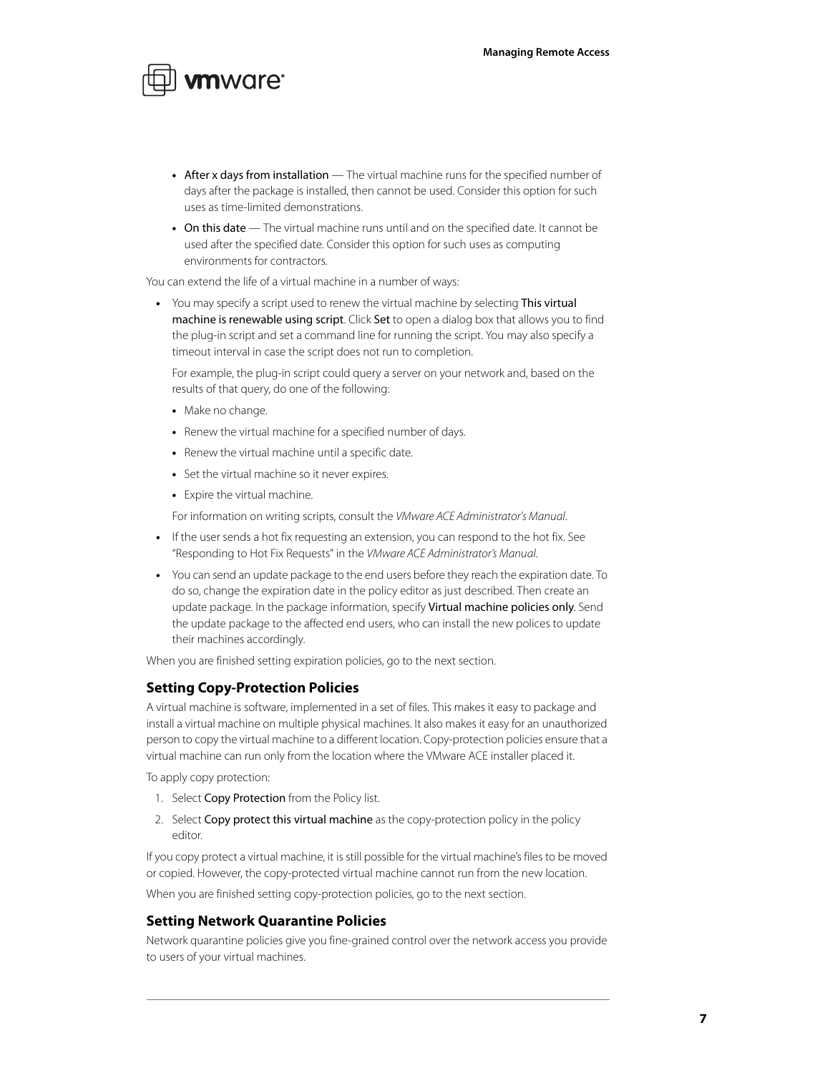

- After x days from installation The virtual machine runs for the specified number of days after the package is installed, then cannot be used. Consider this option for such uses as time-limited demonstrations.
- **•** On this date The virtual machine runs until and on the specified date. It cannot be used after the specified date. Consider this option for such uses as computing environments for contractors.

You can extend the life of a virtual machine in a number of ways:

**•** You may specify a script used to renew the virtual machine by selecting This virtual machine is renewable using script. Click Set to open a dialog box that allows you to find the plug-in script and set a command line for running the script. You may also specify a timeout interval in case the script does not run to completion.

For example, the plug-in script could query a server on your network and, based on the results of that query, do one of the following:

- **•** Make no change.
- **•** Renew the virtual machine for a specified number of days.
- **•** Renew the virtual machine until a specific date.
- **•** Set the virtual machine so it never expires.
- **•** Expire the virtual machine.

For information on writing scripts, consult the VMware ACE Administrator's Manual.

- **•** If the user sends a hot fix requesting an extension, you can respond to the hot fix. See "Responding to Hot Fix Requests" in the VMware ACE Administrator's Manual.
- **•** You can send an update package to the end users before they reach the expiration date. To do so, change the expiration date in the policy editor as just described. Then create an update package. In the package information, specify Virtual machine policies only. Send the update package to the affected end users, who can install the new polices to update their machines accordingly.

When you are finished setting expiration policies, go to the next section.

#### <span id="page-6-0"></span>**Setting Copy-Protection Policies**

A virtual machine is software, implemented in a set of files. This makes it easy to package and install a virtual machine on multiple physical machines. It also makes it easy for an unauthorized person to copy the virtual machine to a different location. Copy-protection policies ensure that a virtual machine can run only from the location where the VMware ACE installer placed it.

To apply copy protection:

- 1. Select Copy Protection from the Policy list.
- 2. Select Copy protect this virtual machine as the copy-protection policy in the policy editor.

If you copy protect a virtual machine, it is still possible for the virtual machine's files to be moved or copied. However, the copy-protected virtual machine cannot run from the new location.

When you are finished setting copy-protection policies, go to the next section.

#### <span id="page-6-1"></span>**Setting Network Quarantine Policies**

Network quarantine policies give you fine-grained control over the network access you provide to users of your virtual machines.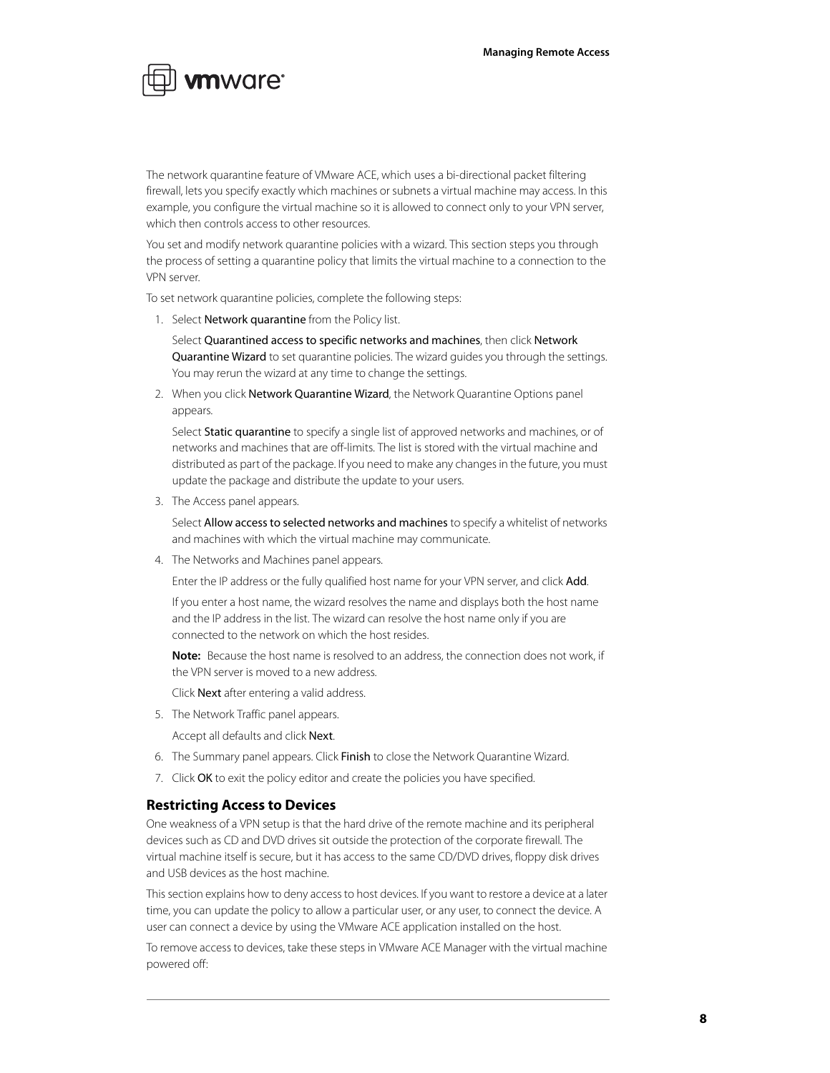

The network quarantine feature of VMware ACE, which uses a bi-directional packet filtering firewall, lets you specify exactly which machines or subnets a virtual machine may access. In this example, you configure the virtual machine so it is allowed to connect only to your VPN server, which then controls access to other resources.

You set and modify network quarantine policies with a wizard. This section steps you through the process of setting a quarantine policy that limits the virtual machine to a connection to the VPN server.

To set network quarantine policies, complete the following steps:

1. Select Network quarantine from the Policy list.

Select Quarantined access to specific networks and machines, then click Network Quarantine Wizard to set quarantine policies. The wizard guides you through the settings. You may rerun the wizard at any time to change the settings.

2. When you click Network Quarantine Wizard, the Network Quarantine Options panel appears.

Select Static quarantine to specify a single list of approved networks and machines, or of networks and machines that are off-limits. The list is stored with the virtual machine and distributed as part of the package. If you need to make any changes in the future, you must update the package and distribute the update to your users.

3. The Access panel appears.

Select Allow access to selected networks and machines to specify a whitelist of networks and machines with which the virtual machine may communicate.

4. The Networks and Machines panel appears.

Enter the IP address or the fully qualified host name for your VPN server, and click Add.

If you enter a host name, the wizard resolves the name and displays both the host name and the IP address in the list. The wizard can resolve the host name only if you are connected to the network on which the host resides.

**Note:** Because the host name is resolved to an address, the connection does not work, if the VPN server is moved to a new address.

Click Next after entering a valid address.

5. The Network Traffic panel appears.

Accept all defaults and click Next.

- 6. The Summary panel appears. Click Finish to close the Network Quarantine Wizard.
- 7. Click OK to exit the policy editor and create the policies you have specified.

#### <span id="page-7-0"></span>**Restricting Access to Devices**

One weakness of a VPN setup is that the hard drive of the remote machine and its peripheral devices such as CD and DVD drives sit outside the protection of the corporate firewall. The virtual machine itself is secure, but it has access to the same CD/DVD drives, floppy disk drives and USB devices as the host machine.

This section explains how to deny access to host devices. If you want to restore a device at a later time, you can update the policy to allow a particular user, or any user, to connect the device. A user can connect a device by using the VMware ACE application installed on the host.

To remove access to devices, take these steps in VMware ACE Manager with the virtual machine powered off: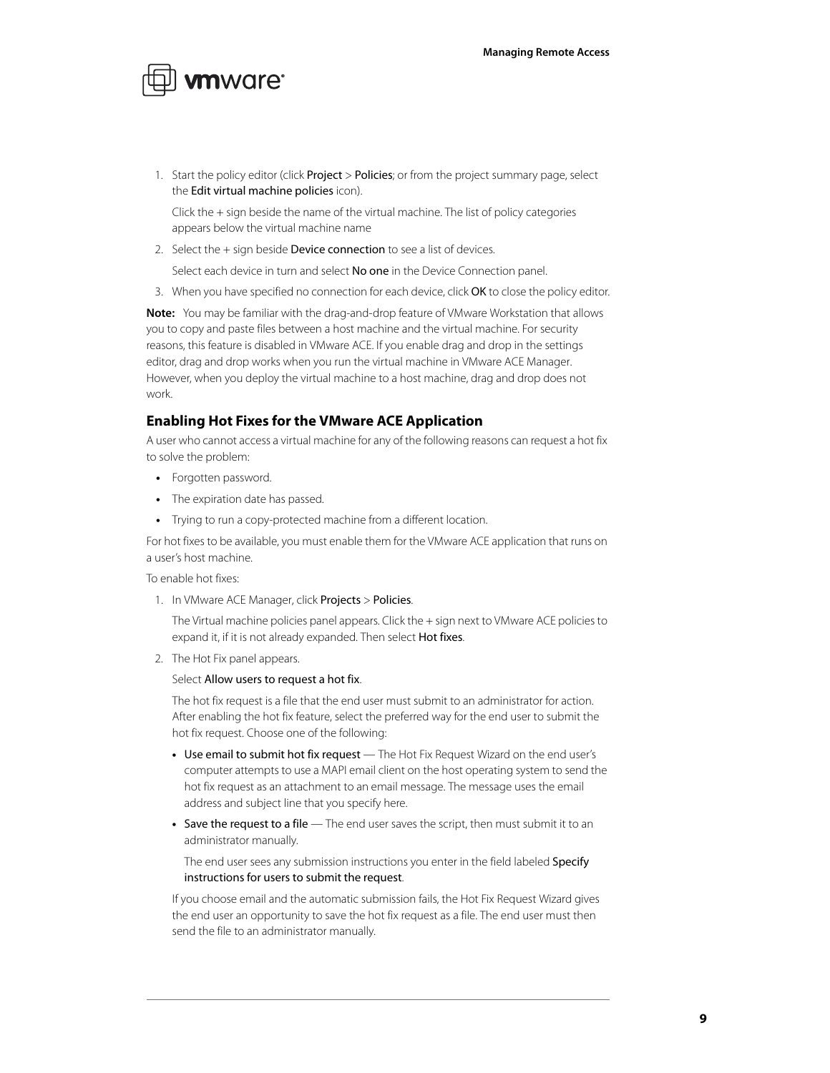

1. Start the policy editor (click **Project > Policies**; or from the project summary page, select the Edit virtual machine policies icon).

Click the + sign beside the name of the virtual machine. The list of policy categories appears below the virtual machine name

2. Select the  $+$  sign beside **Device connection** to see a list of devices.

Select each device in turn and select No one in the Device Connection panel.

3. When you have specified no connection for each device, click OK to close the policy editor.

**Note:** You may be familiar with the drag-and-drop feature of VMware Workstation that allows you to copy and paste files between a host machine and the virtual machine. For security reasons, this feature is disabled in VMware ACE. If you enable drag and drop in the settings editor, drag and drop works when you run the virtual machine in VMware ACE Manager. However, when you deploy the virtual machine to a host machine, drag and drop does not work.

#### <span id="page-8-0"></span>**Enabling Hot Fixes for the VMware ACE Application**

A user who cannot access a virtual machine for any of the following reasons can request a hot fix to solve the problem:

- **•** Forgotten password.
- **•** The expiration date has passed.
- **•** Trying to run a copy-protected machine from a different location.

For hot fixes to be available, you must enable them for the VMware ACE application that runs on a user's host machine.

To enable hot fixes:

1. In VMware ACE Manager, click Projects > Policies.

The Virtual machine policies panel appears. Click the + sign next to VMware ACE policies to expand it, if it is not already expanded. Then select **Hot fixes**.

2. The Hot Fix panel appears.

#### Select Allow users to request a hot fix.

The hot fix request is a file that the end user must submit to an administrator for action. After enabling the hot fix feature, select the preferred way for the end user to submit the hot fix request. Choose one of the following:

- **•** Use email to submit hot fix request The Hot Fix Request Wizard on the end user's computer attempts to use a MAPI email client on the host operating system to send the hot fix request as an attachment to an email message. The message uses the email address and subject line that you specify here.
- **•** Save the request to a file The end user saves the script, then must submit it to an administrator manually.

The end user sees any submission instructions you enter in the field labeled Specify instructions for users to submit the request.

If you choose email and the automatic submission fails, the Hot Fix Request Wizard gives the end user an opportunity to save the hot fix request as a file. The end user must then send the file to an administrator manually.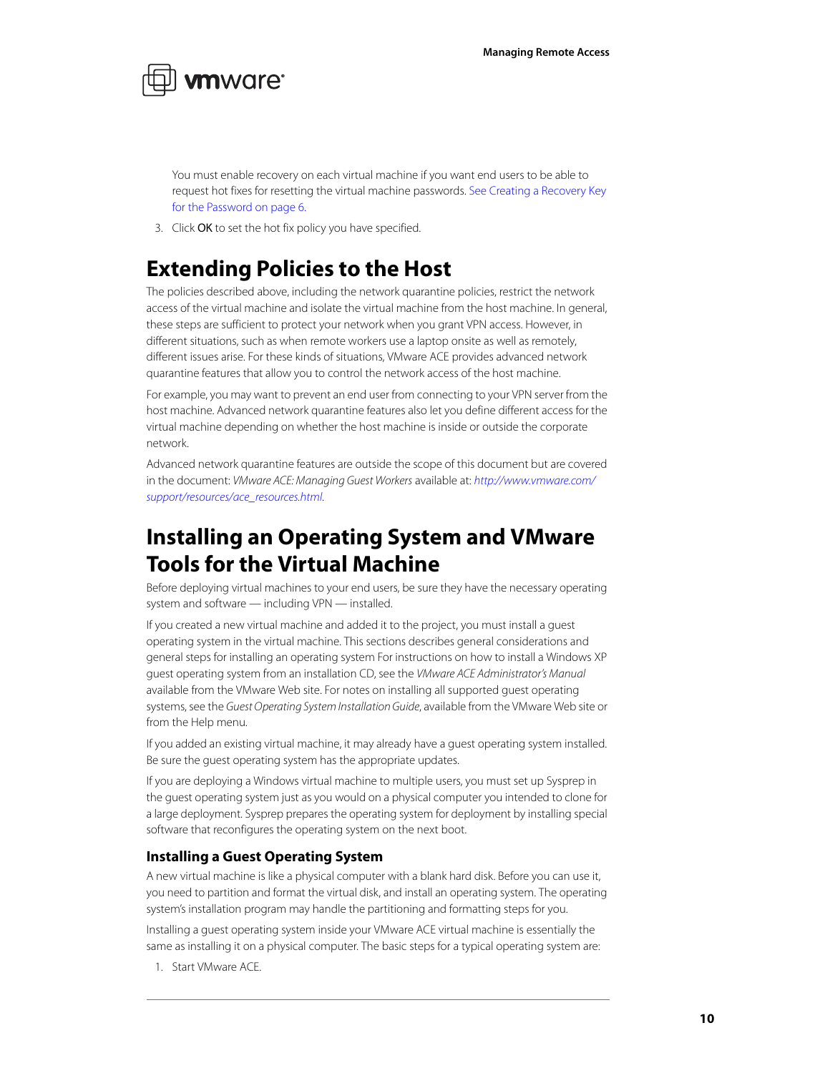

You must enable recovery on each virtual machine if you want end users to be able to request hot fixes for resetting the virtual machine passwords. [See Creating a Recovery Key](#page-5-1)  [for the Password on page 6.](#page-5-1)

3. Click OK to set the hot fix policy you have specified.

### <span id="page-9-0"></span>**Extending Policies to the Host**

The policies described above, including the network quarantine policies, restrict the network access of the virtual machine and isolate the virtual machine from the host machine. In general, these steps are sufficient to protect your network when you grant VPN access. However, in different situations, such as when remote workers use a laptop onsite as well as remotely, different issues arise. For these kinds of situations, VMware ACE provides advanced network quarantine features that allow you to control the network access of the host machine.

For example, you may want to prevent an end user from connecting to your VPN server from the host machine. Advanced network quarantine features also let you define different access for the virtual machine depending on whether the host machine is inside or outside the corporate network.

Advanced network quarantine features are outside the scope of this document but are covered in the document: VMware ACE: Managing Guest Workers available at: [http://www.vmware.com/](http://www.vmware.com/support/resources/ace_resources.html) [support/resources/ace\\_resources.html](http://www.vmware.com/support/resources/ace_resources.html).

## <span id="page-9-1"></span>**Installing an Operating System and VMware Tools for the Virtual Machine**

Before deploying virtual machines to your end users, be sure they have the necessary operating system and software — including VPN — installed.

If you created a new virtual machine and added it to the project, you must install a guest operating system in the virtual machine. This sections describes general considerations and general steps for installing an operating system For instructions on how to install a Windows XP guest operating system from an installation CD, see the VMware ACE Administrator's Manual available from the VMware Web site. For notes on installing all supported guest operating systems, see the Guest Operating System Installation Guide, available from the VMware Web site or from the Help menu.

If you added an existing virtual machine, it may already have a guest operating system installed. Be sure the guest operating system has the appropriate updates.

If you are deploying a Windows virtual machine to multiple users, you must set up Sysprep in the guest operating system just as you would on a physical computer you intended to clone for a large deployment. Sysprep prepares the operating system for deployment by installing special software that reconfigures the operating system on the next boot.

#### **Installing a Guest Operating System**

A new virtual machine is like a physical computer with a blank hard disk. Before you can use it, you need to partition and format the virtual disk, and install an operating system. The operating system's installation program may handle the partitioning and formatting steps for you.

Installing a guest operating system inside your VMware ACE virtual machine is essentially the same as installing it on a physical computer. The basic steps for a typical operating system are:

1. Start VMware ACE.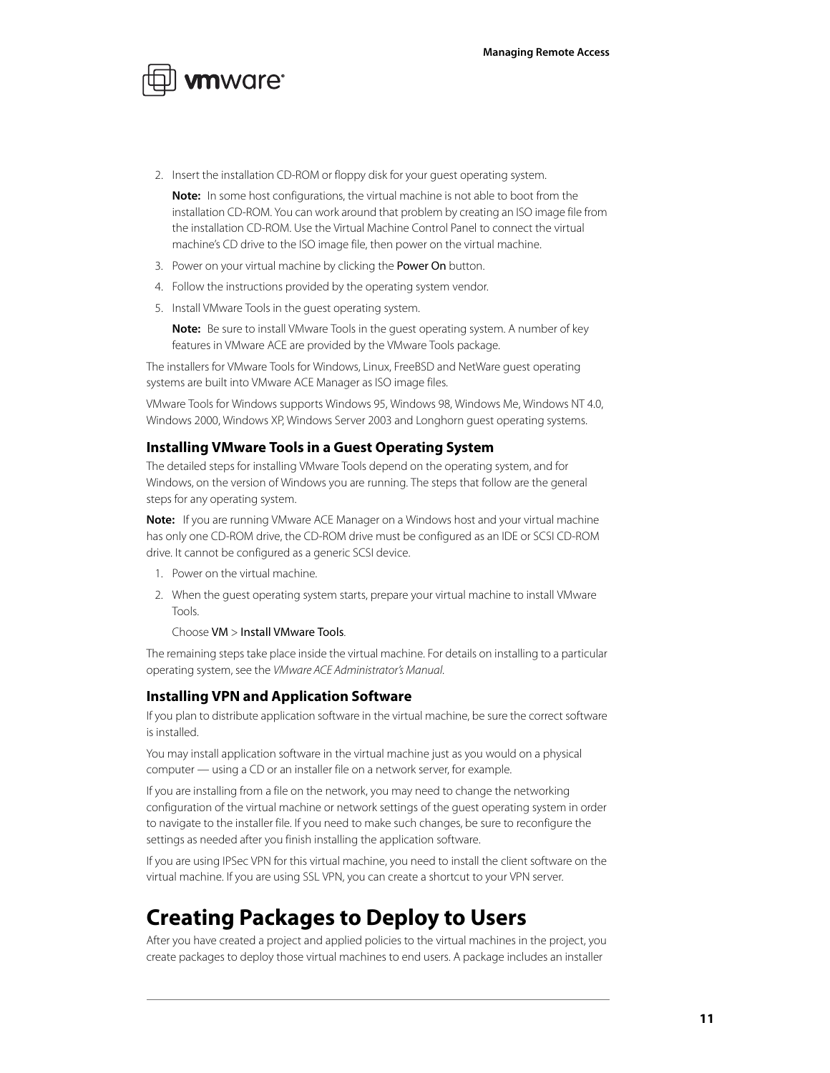

2. Insert the installation CD-ROM or floppy disk for your guest operating system.

**Note:** In some host configurations, the virtual machine is not able to boot from the installation CD-ROM. You can work around that problem by creating an ISO image file from the installation CD-ROM. Use the Virtual Machine Control Panel to connect the virtual machine's CD drive to the ISO image file, then power on the virtual machine.

- 3. Power on your virtual machine by clicking the Power On button.
- 4. Follow the instructions provided by the operating system vendor.
- 5. Install VMware Tools in the guest operating system.

**Note:** Be sure to install VMware Tools in the guest operating system. A number of key features in VMware ACE are provided by the VMware Tools package.

The installers for VMware Tools for Windows, Linux, FreeBSD and NetWare guest operating systems are built into VMware ACE Manager as ISO image files.

VMware Tools for Windows supports Windows 95, Windows 98, Windows Me, Windows NT 4.0, Windows 2000, Windows XP, Windows Server 2003 and Longhorn guest operating systems.

#### **Installing VMware Tools in a Guest Operating System**

The detailed steps for installing VMware Tools depend on the operating system, and for Windows, on the version of Windows you are running. The steps that follow are the general steps for any operating system.

**Note:** If you are running VMware ACE Manager on a Windows host and your virtual machine has only one CD-ROM drive, the CD-ROM drive must be configured as an IDE or SCSI CD-ROM drive. It cannot be configured as a generic SCSI device.

- 1. Power on the virtual machine.
- 2. When the guest operating system starts, prepare your virtual machine to install VMware Tools.

#### Choose VM > Install VMware Tools.

The remaining steps take place inside the virtual machine. For details on installing to a particular operating system, see the VMware ACE Administrator's Manual.

#### **Installing VPN and Application Software**

If you plan to distribute application software in the virtual machine, be sure the correct software is installed.

You may install application software in the virtual machine just as you would on a physical computer — using a CD or an installer file on a network server, for example.

If you are installing from a file on the network, you may need to change the networking configuration of the virtual machine or network settings of the guest operating system in order to navigate to the installer file. If you need to make such changes, be sure to reconfigure the settings as needed after you finish installing the application software.

If you are using IPSec VPN for this virtual machine, you need to install the client software on the virtual machine. If you are using SSL VPN, you can create a shortcut to your VPN server.

### <span id="page-10-0"></span>**Creating Packages to Deploy to Users**

After you have created a project and applied policies to the virtual machines in the project, you create packages to deploy those virtual machines to end users. A package includes an installer